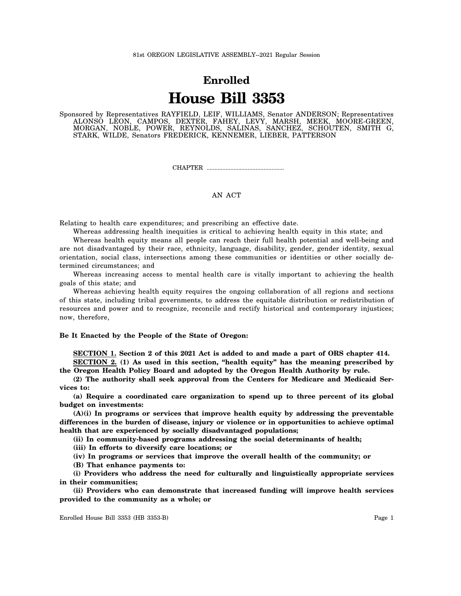## **Enrolled House Bill 3353**

Sponsored by Representatives RAYFIELD, LEIF, WILLIAMS, Senator ANDERSON; Representatives ALONSO LEON, CAMPOS, DEXTER, FAHEY, LEVY, MARSH, MEEK, MOORE-GREEN, MORGAN, NOBLE, POWER, REYNOLDS, SALINAS, SANCHEZ, SCHOUTEN, SMITH G, STARK, WILDE, Senators FREDERICK, KENNEMER, LIEBER, PATTERSON

CHAPTER .................................................

## AN ACT

Relating to health care expenditures; and prescribing an effective date.

Whereas addressing health inequities is critical to achieving health equity in this state; and Whereas health equity means all people can reach their full health potential and well-being and are not disadvantaged by their race, ethnicity, language, disability, gender, gender identity, sexual orientation, social class, intersections among these communities or identities or other socially determined circumstances; and

Whereas increasing access to mental health care is vitally important to achieving the health goals of this state; and

Whereas achieving health equity requires the ongoing collaboration of all regions and sections of this state, including tribal governments, to address the equitable distribution or redistribution of resources and power and to recognize, reconcile and rectify historical and contemporary injustices; now, therefore,

## **Be It Enacted by the People of the State of Oregon:**

**SECTION 1. Section 2 of this 2021 Act is added to and made a part of ORS chapter 414. SECTION 2. (1) As used in this section, "health equity" has the meaning prescribed by**

**the Oregon Health Policy Board and adopted by the Oregon Health Authority by rule.**

**(2) The authority shall seek approval from the Centers for Medicare and Medicaid Services to:**

**(a) Require a coordinated care organization to spend up to three percent of its global budget on investments:**

**(A)(i) In programs or services that improve health equity by addressing the preventable differences in the burden of disease, injury or violence or in opportunities to achieve optimal health that are experienced by socially disadvantaged populations;**

**(ii) In community-based programs addressing the social determinants of health;**

**(iii) In efforts to diversify care locations; or**

**(iv) In programs or services that improve the overall health of the community; or**

**(B) That enhance payments to:**

**(i) Providers who address the need for culturally and linguistically appropriate services in their communities;**

**(ii) Providers who can demonstrate that increased funding will improve health services provided to the community as a whole; or**

Enrolled House Bill 3353 (HB 3353-B) Page 1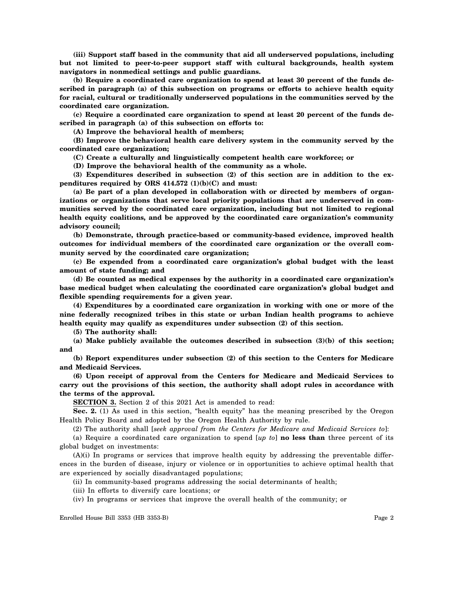**(iii) Support staff based in the community that aid all underserved populations, including but not limited to peer-to-peer support staff with cultural backgrounds, health system navigators in nonmedical settings and public guardians.**

**(b) Require a coordinated care organization to spend at least 30 percent of the funds described in paragraph (a) of this subsection on programs or efforts to achieve health equity for racial, cultural or traditionally underserved populations in the communities served by the coordinated care organization.**

**(c) Require a coordinated care organization to spend at least 20 percent of the funds described in paragraph (a) of this subsection on efforts to:**

**(A) Improve the behavioral health of members;**

**(B) Improve the behavioral health care delivery system in the community served by the coordinated care organization;**

**(C) Create a culturally and linguistically competent health care workforce; or**

**(D) Improve the behavioral health of the community as a whole.**

**(3) Expenditures described in subsection (2) of this section are in addition to the expenditures required by ORS 414.572 (1)(b)(C) and must:**

**(a) Be part of a plan developed in collaboration with or directed by members of organizations or organizations that serve local priority populations that are underserved in communities served by the coordinated care organization, including but not limited to regional health equity coalitions, and be approved by the coordinated care organization's community advisory council;**

**(b) Demonstrate, through practice-based or community-based evidence, improved health outcomes for individual members of the coordinated care organization or the overall community served by the coordinated care organization;**

**(c) Be expended from a coordinated care organization's global budget with the least amount of state funding; and**

**(d) Be counted as medical expenses by the authority in a coordinated care organization's base medical budget when calculating the coordinated care organization's global budget and flexible spending requirements for a given year.**

**(4) Expenditures by a coordinated care organization in working with one or more of the nine federally recognized tribes in this state or urban Indian health programs to achieve health equity may qualify as expenditures under subsection (2) of this section.**

**(5) The authority shall:**

**(a) Make publicly available the outcomes described in subsection (3)(b) of this section; and**

**(b) Report expenditures under subsection (2) of this section to the Centers for Medicare and Medicaid Services.**

**(6) Upon receipt of approval from the Centers for Medicare and Medicaid Services to carry out the provisions of this section, the authority shall adopt rules in accordance with the terms of the approval.**

**SECTION 3.** Section 2 of this 2021 Act is amended to read:

**Sec. 2.** (1) As used in this section, "health equity" has the meaning prescribed by the Oregon Health Policy Board and adopted by the Oregon Health Authority by rule.

(2) The authority shall [*seek approval from the Centers for Medicare and Medicaid Services to*]:

(a) Require a coordinated care organization to spend [*up to*] **no less than** three percent of its global budget on investments:

(A)(i) In programs or services that improve health equity by addressing the preventable differences in the burden of disease, injury or violence or in opportunities to achieve optimal health that are experienced by socially disadvantaged populations;

(ii) In community-based programs addressing the social determinants of health;

(iii) In efforts to diversify care locations; or

(iv) In programs or services that improve the overall health of the community; or

Enrolled House Bill 3353 (HB 3353-B) Page 2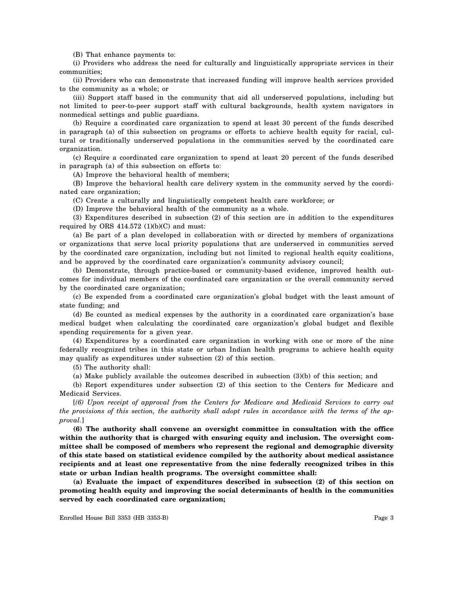(B) That enhance payments to:

(i) Providers who address the need for culturally and linguistically appropriate services in their communities;

(ii) Providers who can demonstrate that increased funding will improve health services provided to the community as a whole; or

(iii) Support staff based in the community that aid all underserved populations, including but not limited to peer-to-peer support staff with cultural backgrounds, health system navigators in nonmedical settings and public guardians.

(b) Require a coordinated care organization to spend at least 30 percent of the funds described in paragraph (a) of this subsection on programs or efforts to achieve health equity for racial, cultural or traditionally underserved populations in the communities served by the coordinated care organization.

(c) Require a coordinated care organization to spend at least 20 percent of the funds described in paragraph (a) of this subsection on efforts to:

(A) Improve the behavioral health of members;

(B) Improve the behavioral health care delivery system in the community served by the coordinated care organization;

(C) Create a culturally and linguistically competent health care workforce; or

(D) Improve the behavioral health of the community as a whole.

(3) Expenditures described in subsection (2) of this section are in addition to the expenditures required by ORS  $414.572$  (1)(b)(C) and must:

(a) Be part of a plan developed in collaboration with or directed by members of organizations or organizations that serve local priority populations that are underserved in communities served by the coordinated care organization, including but not limited to regional health equity coalitions, and be approved by the coordinated care organization's community advisory council;

(b) Demonstrate, through practice-based or community-based evidence, improved health outcomes for individual members of the coordinated care organization or the overall community served by the coordinated care organization;

(c) Be expended from a coordinated care organization's global budget with the least amount of state funding; and

(d) Be counted as medical expenses by the authority in a coordinated care organization's base medical budget when calculating the coordinated care organization's global budget and flexible spending requirements for a given year.

(4) Expenditures by a coordinated care organization in working with one or more of the nine federally recognized tribes in this state or urban Indian health programs to achieve health equity may qualify as expenditures under subsection (2) of this section.

(5) The authority shall:

(a) Make publicly available the outcomes described in subsection (3)(b) of this section; and

(b) Report expenditures under subsection (2) of this section to the Centers for Medicare and Medicaid Services.

[*(6) Upon receipt of approval from the Centers for Medicare and Medicaid Services to carry out the provisions of this section, the authority shall adopt rules in accordance with the terms of the approval.*]

**(6) The authority shall convene an oversight committee in consultation with the office within the authority that is charged with ensuring equity and inclusion. The oversight committee shall be composed of members who represent the regional and demographic diversity of this state based on statistical evidence compiled by the authority about medical assistance recipients and at least one representative from the nine federally recognized tribes in this state or urban Indian health programs. The oversight committee shall:**

**(a) Evaluate the impact of expenditures described in subsection (2) of this section on promoting health equity and improving the social determinants of health in the communities served by each coordinated care organization;**